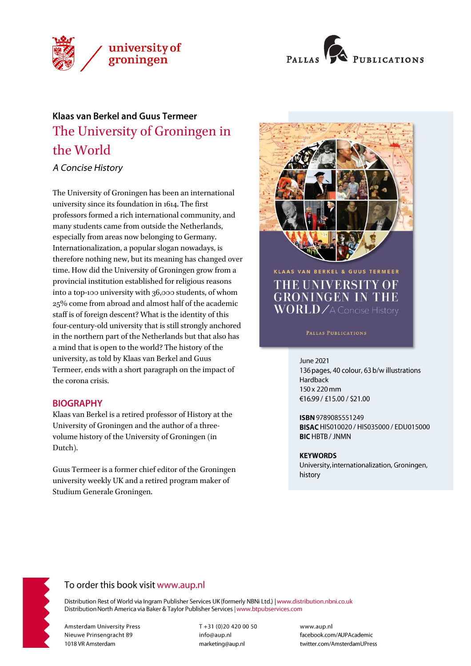



# **Klaas van Berkel and Guus Termeer** The University of Groningen in the World

A Concise History

The University of Groningen has been an international university since its foundation in 1614. The first professors formed a rich international community, and many students came from outside the Netherlands, especially from areas now belonging to Germany. Internationalization, a popular slogan nowadays, is therefore nothing new, but its meaning has changed over time. How did the University of Groningen grow from a provincial institution established for religious reasons into a top-100 university with 36,000 students, of whom 25% come from abroad and almost half of the academic staff is of foreign descent? What is the identity of this four-century-old university that is still strongly anchored in the northern part of the Netherlands but that also has a mind that is open to the world? The history of the university, as told by Klaas van Berkel and Guus Termeer, ends with a short paragraph on the impact of the corona crisis.

### **BIOGRAPHY**

Klaas van Berkel is a retired professor of History at the University of Groningen and the author of a threevolume history of the University of Groningen (in Dutch).

Guus Termeer is a former chief editor of the Groningen university weekly UK and a retired program maker of Studium Generale Groningen.



THE UNIVERSITY OF **GRONINGEN IN THE**  $\overline{\text{WORLD}}$  / A Concise History

**June 2021** 

136 pages, 40 colour, 63 b/w illustrations Hardback 150 x 220 mm €16.99 / £15.00 / \$21.00

ISBN 9789085551249 BISAC HIS010020 / HIS035000 / EDU015000 **BIC HBTB / JNMN** 

### **KEYWORDS**

University, internationalization, Groningen, history



# To order this book visit www.aup.nl

Distribution Rest of World via Ingram Publisher Services UK (formerly NBNi Ltd.) | www.distribution.nbni.co.uk Distribution North America via Baker & Taylor Publisher Services | www.btpubservices.com

**Amsterdam University Press** Nieuwe Prinsengracht 89 1018 VR Amsterdam

T+31 (0)20 420 00 50 info@aup.nl marketing@aup.nl

www.aup.nl facebook.com/AUPAcademic twitter.com/AmsterdamUPress